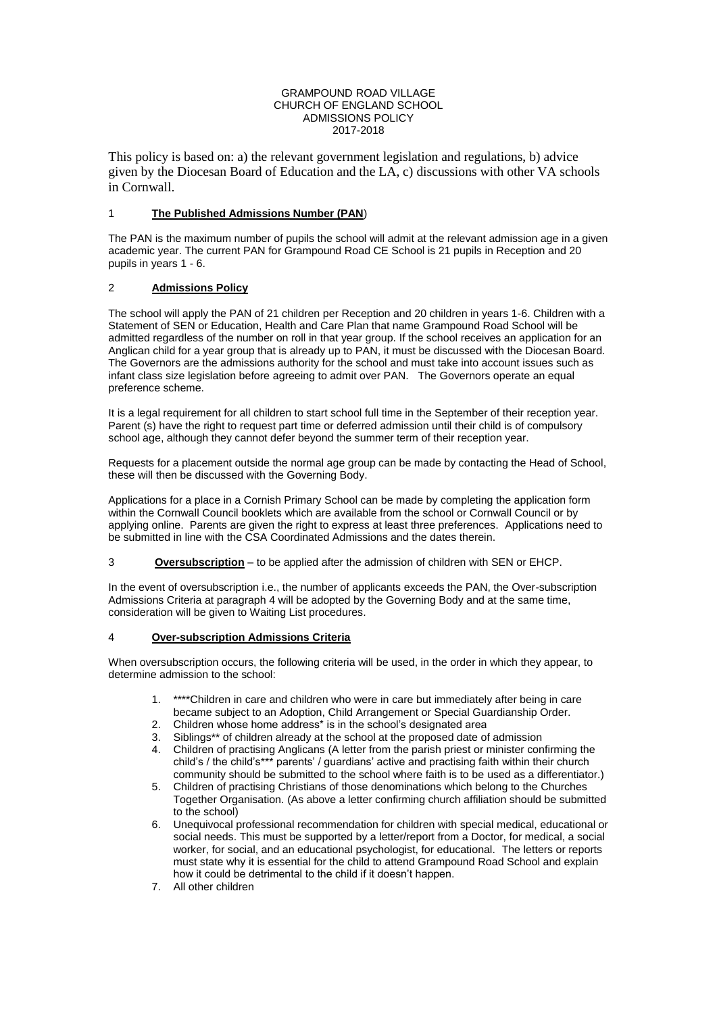#### GRAMPOUND ROAD VILLAGE CHURCH OF ENGLAND SCHOOL ADMISSIONS POLICY 2017-2018

This policy is based on: a) the relevant government legislation and regulations, b) advice given by the Diocesan Board of Education and the LA, c) discussions with other VA schools in Cornwall.

### 1 **The Published Admissions Number (PAN**)

The PAN is the maximum number of pupils the school will admit at the relevant admission age in a given academic year. The current PAN for Grampound Road CE School is 21 pupils in Reception and 20 pupils in years 1 - 6.

# 2 **Admissions Policy**

The school will apply the PAN of 21 children per Reception and 20 children in years 1-6. Children with a Statement of SEN or Education, Health and Care Plan that name Grampound Road School will be admitted regardless of the number on roll in that year group. If the school receives an application for an Anglican child for a year group that is already up to PAN, it must be discussed with the Diocesan Board. The Governors are the admissions authority for the school and must take into account issues such as infant class size legislation before agreeing to admit over PAN. The Governors operate an equal preference scheme.

It is a legal requirement for all children to start school full time in the September of their reception year. Parent (s) have the right to request part time or deferred admission until their child is of compulsory school age, although they cannot defer beyond the summer term of their reception year.

Requests for a placement outside the normal age group can be made by contacting the Head of School, these will then be discussed with the Governing Body.

Applications for a place in a Cornish Primary School can be made by completing the application form within the Cornwall Council booklets which are available from the school or Cornwall Council or by applying online. Parents are given the right to express at least three preferences. Applications need to be submitted in line with the CSA Coordinated Admissions and the dates therein.

3 **Oversubscription** – to be applied after the admission of children with SEN or EHCP.

In the event of oversubscription i.e., the number of applicants exceeds the PAN, the Over-subscription Admissions Criteria at paragraph 4 will be adopted by the Governing Body and at the same time, consideration will be given to Waiting List procedures.

#### 4 **Over-subscription Admissions Criteria**

When oversubscription occurs, the following criteria will be used, in the order in which they appear, to determine admission to the school:

- 1. \*\*\*\*Children in care and children who were in care but immediately after being in care became subject to an Adoption, Child Arrangement or Special Guardianship Order.
- 2. Children whose home address\* is in the school's designated area
- 3. Siblings\*\* of children already at the school at the proposed date of admission
- 4. Children of practising Anglicans (A letter from the parish priest or minister confirming the child's / the child's\*\*\* parents' / guardians' active and practising faith within their church community should be submitted to the school where faith is to be used as a differentiator.)
- 5. Children of practising Christians of those denominations which belong to the Churches Together Organisation. (As above a letter confirming church affiliation should be submitted to the school)
- 6. Unequivocal professional recommendation for children with special medical, educational or social needs. This must be supported by a letter/report from a Doctor, for medical, a social worker, for social, and an educational psychologist, for educational. The letters or reports must state why it is essential for the child to attend Grampound Road School and explain how it could be detrimental to the child if it doesn't happen.
- 7. All other children